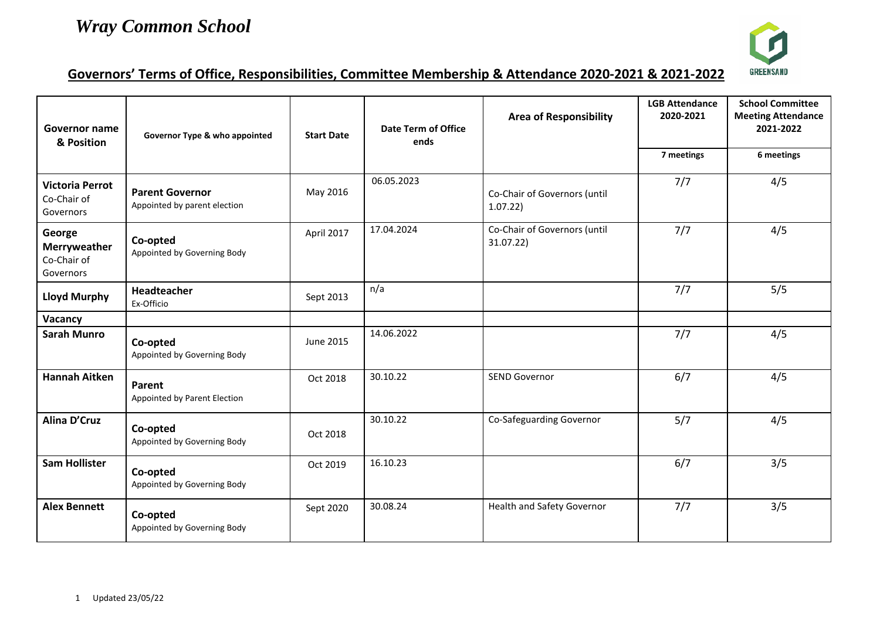

## **Governors' Terms of Office, Responsibilities, Committee Membership & Attendance 2020-2021 & 2021-2022**

| Governor name<br>& Position                        | Governor Type & who appointed                          | <b>Start Date</b> | <b>Date Term of Office</b><br>ends | <b>Area of Responsibility</b>             | <b>LGB Attendance</b><br>2020-2021 | <b>School Committee</b><br><b>Meeting Attendance</b><br>2021-2022 |
|----------------------------------------------------|--------------------------------------------------------|-------------------|------------------------------------|-------------------------------------------|------------------------------------|-------------------------------------------------------------------|
|                                                    |                                                        |                   |                                    |                                           | 7 meetings                         | 6 meetings                                                        |
| <b>Victoria Perrot</b><br>Co-Chair of<br>Governors | <b>Parent Governor</b><br>Appointed by parent election | May 2016          | 06.05.2023                         | Co-Chair of Governors (until<br>1.07.22   | 7/7                                | 4/5                                                               |
| George<br>Merryweather<br>Co-Chair of<br>Governors | Co-opted<br>Appointed by Governing Body                | April 2017        | 17.04.2024                         | Co-Chair of Governors (until<br>31.07.22) | 7/7                                | 4/5                                                               |
| <b>Lloyd Murphy</b>                                | Headteacher<br>Ex-Officio                              | Sept 2013         | n/a                                |                                           | 7/7                                | 5/5                                                               |
| Vacancy                                            |                                                        |                   |                                    |                                           |                                    |                                                                   |
| <b>Sarah Munro</b>                                 | Co-opted<br>Appointed by Governing Body                | June 2015         | 14.06.2022                         |                                           | 7/7                                | 4/5                                                               |
| <b>Hannah Aitken</b>                               | Parent<br>Appointed by Parent Election                 | Oct 2018          | 30.10.22                           | SEND Governor                             | 6/7                                | 4/5                                                               |
| <b>Alina D'Cruz</b>                                | Co-opted<br>Appointed by Governing Body                | Oct 2018          | 30.10.22                           | Co-Safeguarding Governor                  | 5/7                                | 4/5                                                               |
| <b>Sam Hollister</b>                               | Co-opted<br>Appointed by Governing Body                | Oct 2019          | 16.10.23                           |                                           | 6/7                                | 3/5                                                               |
| <b>Alex Bennett</b>                                | Co-opted<br>Appointed by Governing Body                | Sept 2020         | 30.08.24                           | <b>Health and Safety Governor</b>         | 7/7                                | 3/5                                                               |